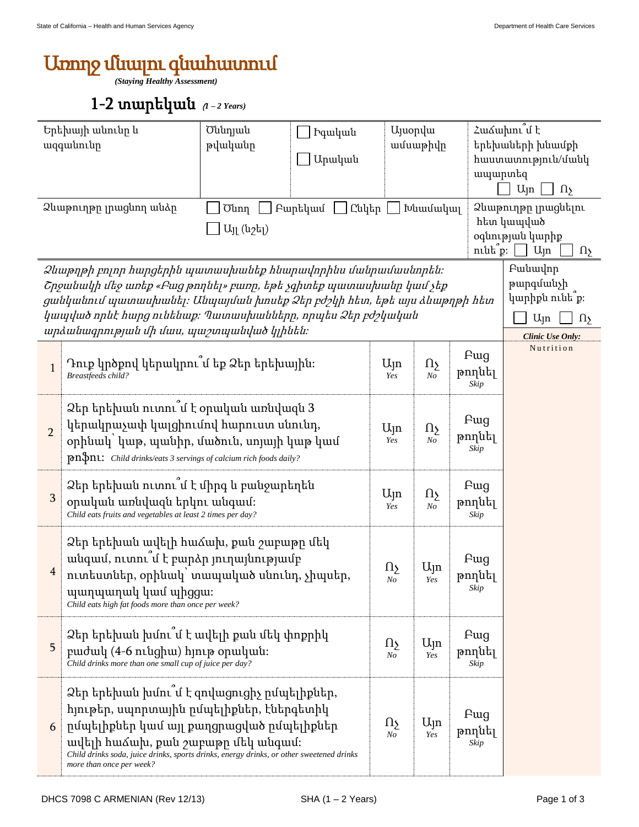## Առողջ մնալու գնահատում

*(Staying Healthy Assessment)*

## 1-2 տարեկան (*1 – 2 Years)*

| Երեխայի անունը և<br>ազգանունը                                                                                                                                                                                                                                                                                                                                                                     |                                                                                                                                                                                                                                                                                                  | Ծննդյան<br>թվականը | <b>Pquluu</b> u<br>Արական |                            | <b>U</b> juopyu<br>ամսաթիվը                                                                    |                       | Համախու <sup>՞</sup> մ է<br>երեխաների խնամքի<br>hաստատություն/մանկ<br>ապարտեզ<br>$U_{\parallel}$ n<br>$\Omega$ |  |  |
|---------------------------------------------------------------------------------------------------------------------------------------------------------------------------------------------------------------------------------------------------------------------------------------------------------------------------------------------------------------------------------------------------|--------------------------------------------------------------------------------------------------------------------------------------------------------------------------------------------------------------------------------------------------------------------------------------------------|--------------------|---------------------------|----------------------------|------------------------------------------------------------------------------------------------|-----------------------|----------------------------------------------------------------------------------------------------------------|--|--|
| Ձևաթուղթը լրացնող անձը<br>Բարեկամ<br>Ընկեր<br>ինամակալ<br><b>Ounn</b><br>$U_{11}$ (u <sub>2</sub> $L_{1}$ )<br>$n$ ւնե $p$ ։                                                                                                                                                                                                                                                                      |                                                                                                                                                                                                                                                                                                  |                    |                           |                            | Ձևաթուղթը լրացնելու<br>հետ կապված<br>օգնության կարիք<br>$U_{\parallel}$ n<br>$\Omega_{\Sigma}$ |                       |                                                                                                                |  |  |
| Pwuwulnp<br>Ձևաթղթի բոլոր հարցերին պատասխանեք հնարավորինս մանրամասնորեն։<br>թարգմանչի<br>Շրջանակի մեջ առեք «Բաց թողնել» բառը, եթե չգիտեք պատասխանը կամ չեք<br>կարիքն ունե՞ք։<br>ցանկանում պատասխանել։ Անպայման խոսեք Ձեր բժշկի հետ, եթե այս ձևաթղթի հետ<br>կապված որևէ հարց ունենաք։ Պատասխանները, որպես Ձեր բժշկական<br>U <sub>Jn</sub><br>$\Omega$<br>արձանագրության մի մաս, պաշտպանված կլինեն։ |                                                                                                                                                                                                                                                                                                  |                    |                           |                            |                                                                                                |                       | Clinic Use Only:                                                                                               |  |  |
| $\mathbf{1}$                                                                                                                                                                                                                                                                                                                                                                                      | Դուք կրծքով կերակրու՞մ եք Ձեր երեխային։<br>Breastfeeds child?                                                                                                                                                                                                                                    |                    |                           |                            | Ωş<br>$N_{O}$                                                                                  | Fwg<br>թողնել<br>Skip | Nutrition                                                                                                      |  |  |
| $\overline{2}$                                                                                                                                                                                                                                                                                                                                                                                    | Ձեր երեխան ուտու՞մ է օրական առնվազն 3<br>կերակրաչափ կալցիումով հարուստ սնունդ,<br>օրինակ՝ կաթ, պանիր, մածուն, սոյայի կաթ կամ<br><b>pn\$nL:</b> Child drinks/eats 3 servings of calcium rich foods daily?                                                                                         |                    |                           |                            | $\Omega_{\Sigma}$<br>N <sub>O</sub>                                                            | Fwg<br>թողնել<br>Skip |                                                                                                                |  |  |
| 3                                                                                                                                                                                                                                                                                                                                                                                                 | Ձեր երեխան ուտու՞մ է միրգ և բանջարեղեն<br>օրական առնվազն երկու անգամ։<br>Child eats fruits and vegetables at least 2 times per day?                                                                                                                                                              |                    |                           |                            | $\Omega_{\Sigma}$<br>N <sub>o</sub>                                                            | Pug<br>թողնել<br>Skip |                                                                                                                |  |  |
| 4                                                                                                                                                                                                                                                                                                                                                                                                 | Ձեր երեխան ավելի հաձախ, քան շաբաթը մեկ<br>անգամ, ուտու մ է բարձր յուղայնությամբ<br>ուտեստներ, օրինակ՝ տապակած սնունդ, չիպսեր,<br>պաղպաղակ կամ պիցցա։<br>Child eats high fat foods more than once per week?                                                                                       |                    |                           |                            | Ujn<br>Yes                                                                                     | Fwg<br>թողնել<br>Skip |                                                                                                                |  |  |
| 5                                                                                                                                                                                                                                                                                                                                                                                                 | Ձեր երեխան խմու՞մ է ավելի քան մեկ փոքրիկ<br>բաժակ (4-6 ունցիա) հյութ օրական։<br>Child drinks more than one small cup of juice per day?                                                                                                                                                           |                    |                           | $\Omega$<br>$N_{O}$        | $U_{\parallel}$ n<br>Yes                                                                       | Fwg<br>թողնել<br>Skip |                                                                                                                |  |  |
| 6                                                                                                                                                                                                                                                                                                                                                                                                 | Ձեր երեխան խմու՞մ է զովացուցիչ ըմպելիքներ,<br>հյութեր, սպորտային ըմպելիքներ, էներգետիկ<br>րմպելիքներ կամ այլ քաղցրացված ըմպելիքներ<br>ավելի հաձախ, քան շաբաթը մեկ անգամ։<br>Child drinks soda, juice drinks, sports drinks, energy drinks, or other sweetened drinks<br>more than once per week? |                    |                           | $\Omega$<br>N <sub>o</sub> | Ալո<br>Yes                                                                                     | Pug<br>թողնել<br>Skip |                                                                                                                |  |  |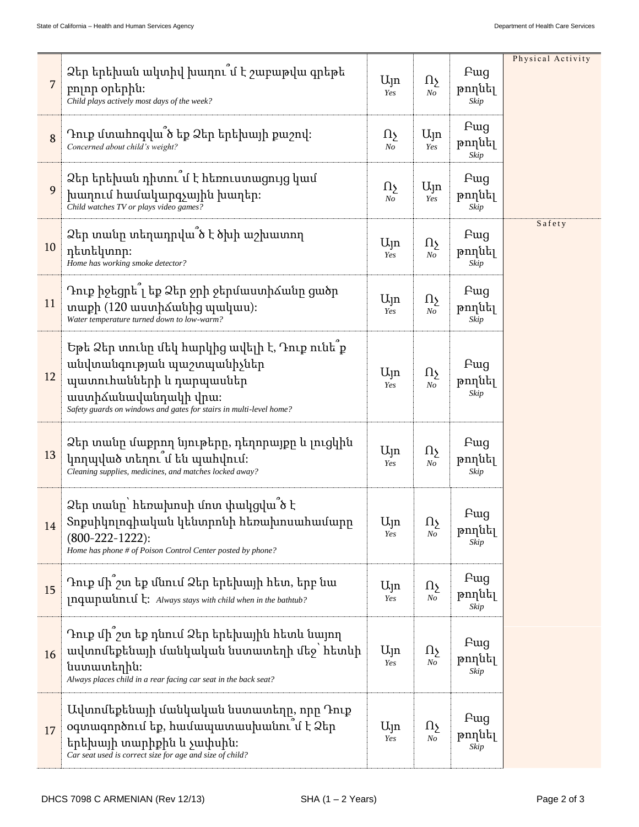|    |                                                                                                                                                                                                       |                          |                                     |                               | Physical Activity |
|----|-------------------------------------------------------------------------------------------------------------------------------------------------------------------------------------------------------|--------------------------|-------------------------------------|-------------------------------|-------------------|
| 7  | Ձեր երեխան ակտիվ խաղու՞մ է շաբաթվա գրեթե<br>բոլոր օրերին։<br>Child plays actively most days of the week?                                                                                              | $U_{\parallel}$ n<br>Yes | $\Omega$<br>No                      | <b>F</b> ug<br>թողնել<br>Skip |                   |
| 8  | Դուք մտահոգվա՞ծ եք Ձեր երեխայի քաշով։<br>Concerned about child's weight?                                                                                                                              | Ωу<br>$N_{O}$            | $U_{\parallel}$ n<br>Yes            | Fwg<br>թողնել<br>Skip         |                   |
| 9  | Ձեր երեխան դիտու՞մ է հեռուստացույց կամ<br>խաղում համակարգչային խաղեր։<br>Child watches TV or plays video games?                                                                                       | Ωş<br>No                 | Ujn<br>Yes                          | <b>F</b> ug<br>թողնել<br>Skip |                   |
| 10 | Ձեր տանը տեղադրվա՞ծ է ծխի աշխատող<br>դետեկտոր։<br>Home has working smoke detector?                                                                                                                    | $U_{\parallel}$ n<br>Yes | $\Omega$<br>No                      | Pwg<br>թողնել<br>Skip         | Safety            |
| 11 | Դուք իջեցրե՞լ եք Ձեր ջրի ջերմաստիձանը ցածր<br>տաքի (120 աստիճանից պակաս):<br>Water temperature turned down to low-warm?                                                                               | $U_{\parallel}$ n<br>Yes | $\Omega$<br>N <sub>O</sub>          | Fwg<br>թողնել<br>Skip         |                   |
| 12 | Եթե Ձեր տունը մեկ հարկից ավելի է, Դուք ունե՞ք<br>անվտանգության պաշտպանիչներ<br>պատուհանների և դարպասներ<br>աստիձանավանդակի վրա։<br>Safety guards on windows and gates for stairs in multi-level home? | $U_{\parallel}$ n<br>Yes | $\Omega_{\Sigma}$<br>N <sub>O</sub> | Fwg<br>թողնել<br>Skip         |                   |
| 13 | Ձեր տանը մաքրող նյութերը, դեղորայքը և լուցկին<br>կողպված տեղու՞մ են պահվում։<br>Cleaning supplies, medicines, and matches locked away?                                                                | $U_{\parallel}$ n<br>Yes | Ωչ<br>N <sub>O</sub>                | Fwg<br>թողնել<br>Skip         |                   |
| 14 | Ձեր տանը՝ հեռախոսի մոտ փակցվա՞ծ է<br>Տոքսիկոլոգիական կենտրոնի հեռախոսահամարր<br>$(800-222-1222)$ :<br>Home has phone # of Poison Control Center posted by phone?                                      | Ujn<br>Yes               | $\Omega_{\Sigma}$<br>No             | <b>F</b> ug<br>թողնել<br>Skip |                   |
| 15 | Դուք մի՞շտ եք մնում Ձեր երեխայի հետ, երբ նա<br><b>Inquipulantul h:</b> Always stays with child when in the bathtub?                                                                                   | Ujn<br>Yes               | $\Omega$<br>N <sub>O</sub>          | Fwg<br>թողնել<br>Skip         |                   |
| 16 | Դուք մի՞շտ եք դնում Ձեր երեխային հետև նայող<br>ավտոմեքենայի մանկական նստատեղի մեջ՝ հետևի<br>նստատեղին։<br>Always places child in a rear facing car seat in the back seat?                             | $U_{\parallel}$ n<br>Yes | Ωу<br>No                            | Pwg<br>թողնել<br>Skip         |                   |
| 17 | Ավտոմեքենայի մանկական նստատեղը, որը Դուք<br>օգտագործում եք, համապատասխանու՞մ է Ձեր<br>երեխայի տարիքին և չափսին։<br>Car seat used is correct size for age and size of child?                           | $U_{\parallel}$ n<br>Yes | Ωş<br>No                            | Fwg<br>թողնել<br>Skip         |                   |